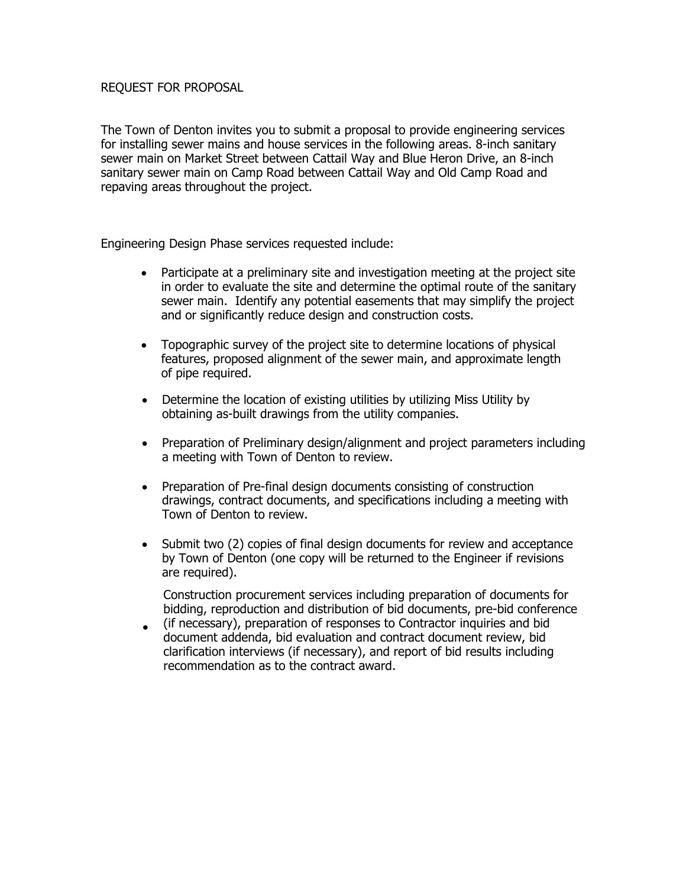## REQUEST FOR PROPOSAL

The Town of Denton invites you to submit a proposal to provide engineering services for installing sewer mains and house services in the following areas. 8-inch sanitary sewer main on Market Street between Cattail Way and Blue Heron Drive, an 8-inch sanitary sewer main on Camp Road between Cattail Way and Old Camp Road and repaving areas throughout the project.

Engineering Design Phase services requested include:

- Participate at a preliminary site and investigation meeting at the project site in order to evaluate the site and determine the optimal route of the sanitary sewer main. Identify any potential easements that may simplify the project and or significantly reduce design and construction costs.
- Topographic survey of the project site to determine locations of physical features, proposed alignment of the sewer main, and approximate length of pipe required.
- Determine the location of existing utilities by utilizing Miss Utility by obtaining as-built drawings from the utility companies.
- Preparation of Preliminary design/alignment and project parameters including a meeting with Town of Denton to review.
- Preparation of Pre-final design documents consisting of construction drawings, contract documents, and specifications including a meeting with Town of Denton to review.
- Submit two (2) copies of final design documents for review and acceptance by Town of Denton (one copy will be returned to the Engineer if revisions are required).

Construction procurement services including preparation of documents for bidding, reproduction and distribution of bid documents, pre-bid conference

• (if necessary), preparation of responses to Contractor inquiries and bid document addenda, bid evaluation and contract document review, bid clarification interviews (if necessary), and report of bid results including recommendation as to the contract award.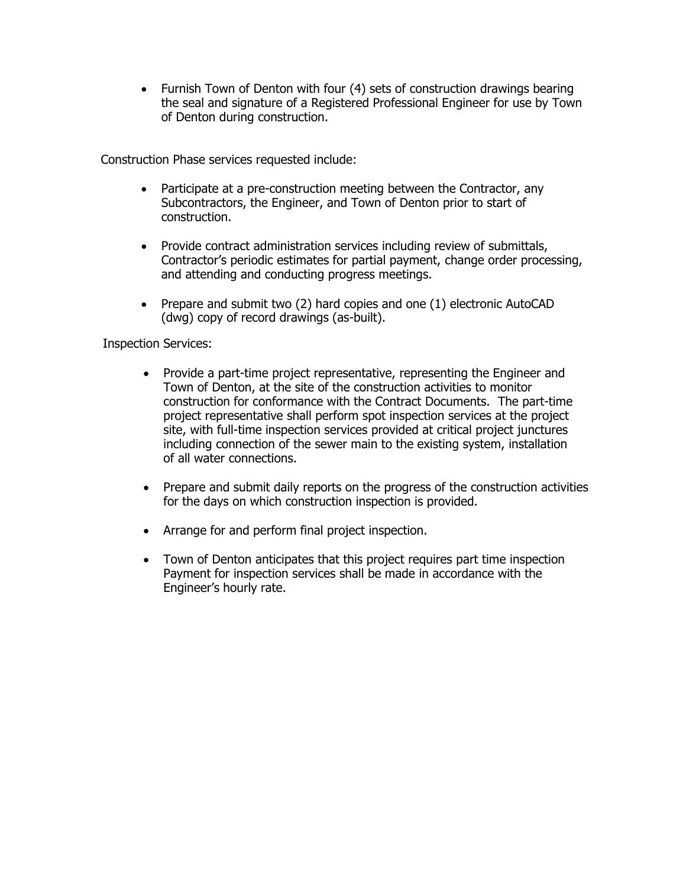• Furnish Town of Denton with four (4) sets of construction drawings bearing the seal and signature of a Registered Professional Engineer for use by Town of Denton during construction.

Construction Phase services requested include:

- Participate at a pre-construction meeting between the Contractor, any Subcontractors, the Engineer, and Town of Denton prior to start of construction.
- Provide contract administration services including review of submittals, Contractor's periodic estimates for partial payment, change order processing, and attending and conducting progress meetings.
- Prepare and submit two (2) hard copies and one (1) electronic AutoCAD (dwg) copy of record drawings (as-built).

## Inspection Services:

- Provide a part-time project representative, representing the Engineer and Town of Denton, at the site of the construction activities to monitor construction for conformance with the Contract Documents. The part-time project representative shall perform spot inspection services at the project site, with full-time inspection services provided at critical project junctures including connection of the sewer main to the existing system, installation of all water connections.
- Prepare and submit daily reports on the progress of the construction activities for the days on which construction inspection is provided.
- Arrange for and perform final project inspection.
- Town of Denton anticipates that this project requires part time inspection Payment for inspection services shall be made in accordance with the Engineer's hourly rate.